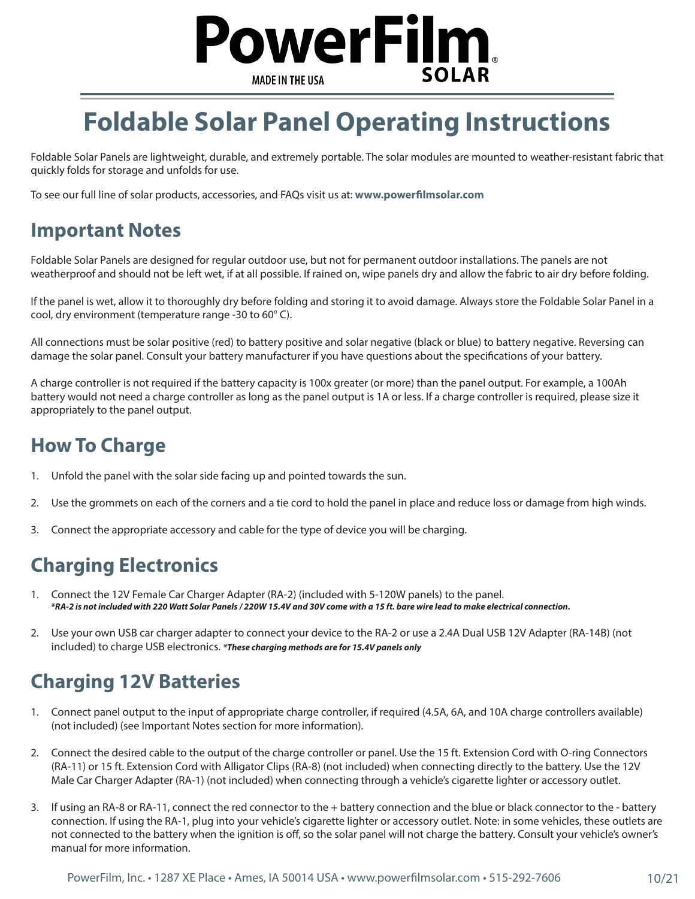

## **Foldable Solar Panel Operating Instructions**

Foldable Solar Panels are lightweight, durable, and extremely portable. The solar modules are mounted to weather-resistant fabric that quickly folds for storage and unfolds for use.

To see our full line of solar products, accessories, and FAQs visit us at: **www.powerfilmsolar.com**

#### **Important Notes**

Foldable Solar Panels are designed for regular outdoor use, but not for permanent outdoor installations. The panels are not weatherproof and should not be left wet, if at all possible. If rained on, wipe panels dry and allow the fabric to air dry before folding.

If the panel is wet, allow it to thoroughly dry before folding and storing it to avoid damage. Always store the Foldable Solar Panel in a cool, dry environment (temperature range -30 to 60° C).

All connections must be solar positive (red) to battery positive and solar negative (black or blue) to battery negative. Reversing can damage the solar panel. Consult your battery manufacturer if you have questions about the specifications of your battery.

A charge controller is not required if the battery capacity is 100x greater (or more) than the panel output. For example, a 100Ah battery would not need a charge controller as long as the panel output is 1A or less. If a charge controller is required, please size it appropriately to the panel output.

## **How To Charge**

- 1. Unfold the panel with the solar side facing up and pointed towards the sun.
- 2. Use the grommets on each of the corners and a tie cord to hold the panel in place and reduce loss or damage from high winds.
- 3. Connect the appropriate accessory and cable for the type of device you will be charging.

## **Charging Electronics**

- 1. Connect the 12V Female Car Charger Adapter (RA-2) (included with 5-120W panels) to the panel.  *\*RA-2 is not included with 220 Watt Solar Panels / 220W 15.4V and 30V come with a 15 ft. bare wire lead to make electrical connection.*
- 2. Use your own USB car charger adapter to connect your device to the RA-2 or use a 2.4A Dual USB 12V Adapter (RA-14B) (not included) to charge USB electronics. *\*These charging methods are for 15.4V panels only*

### **Charging 12V Batteries**

- 1. Connect panel output to the input of appropriate charge controller, if required (4.5A, 6A, and 10A charge controllers available) (not included) (see Important Notes section for more information).
- 2. Connect the desired cable to the output of the charge controller or panel. Use the 15 ft. Extension Cord with O-ring Connectors (RA-11) or 15 ft. Extension Cord with Alligator Clips (RA-8) (not included) when connecting directly to the battery. Use the 12V Male Car Charger Adapter (RA-1) (not included) when connecting through a vehicle's cigarette lighter or accessory outlet.
- 3. If using an RA-8 or RA-11, connect the red connector to the + battery connection and the blue or black connector to the battery connection. If using the RA-1, plug into your vehicle's cigarette lighter or accessory outlet. Note: in some vehicles, these outlets are not connected to the battery when the ignition is off, so the solar panel will not charge the battery. Consult your vehicle's owner's manual for more information.